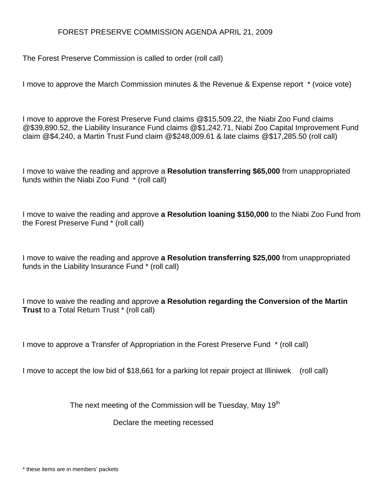## FOREST PRESERVE COMMISSION AGENDA APRIL 21, 2009

The Forest Preserve Commission is called to order (roll call)

I move to approve the March Commission minutes & the Revenue & Expense report \* (voice vote)

I move to approve the Forest Preserve Fund claims @\$15,509.22, the Niabi Zoo Fund claims @\$39,890.52, the Liability Insurance Fund claims @\$1,242.71, Niabi Zoo Capital Improvement Fund claim @\$4,240, a Martin Trust Fund claim @\$248,009.61 & late claims @\$17,285.50 (roll call)

I move to waive the reading and approve a **Resolution transferring \$65,000** from unappropriated funds within the Niabi Zoo Fund \* (roll call)

I move to waive the reading and approve **a Resolution loaning \$150,000** to the Niabi Zoo Fund from the Forest Preserve Fund \* (roll call)

I move to waive the reading and approve **a Resolution transferring \$25,000** from unappropriated funds in the Liability Insurance Fund \* (roll call)

I move to waive the reading and approve **a Resolution regarding the Conversion of the Martin Trust** to a Total Return Trust \* (roll call)

I move to approve a Transfer of Appropriation in the Forest Preserve Fund \* (roll call)

I move to accept the low bid of \$18,661 for a parking lot repair project at Illiniwek (roll call)

The next meeting of the Commission will be Tuesday, May 19<sup>th</sup>

Declare the meeting recessed